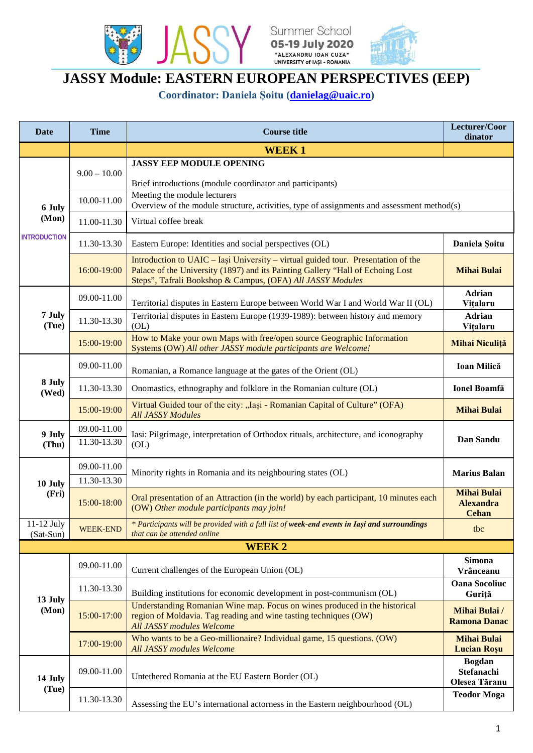





## **JASSY Module: EASTERN EUROPEAN PERSPECTIVES (EEP)**

**Coordinator: Daniela Şoitu [\(danielag@uaic.ro\)](mailto:danielag@uaic.ro)**

| <b>Date</b>                            | <b>Time</b>     | <b>Course title</b>                                                                                                                                                                                                               | Lecturer/Coor<br>dinator                               |  |
|----------------------------------------|-----------------|-----------------------------------------------------------------------------------------------------------------------------------------------------------------------------------------------------------------------------------|--------------------------------------------------------|--|
|                                        |                 | <b>WEEK1</b>                                                                                                                                                                                                                      |                                                        |  |
| 6 July<br>(Mon)<br><b>INTRODUCTION</b> | $9.00 - 10.00$  | <b>JASSY EEP MODULE OPENING</b>                                                                                                                                                                                                   |                                                        |  |
|                                        |                 | Brief introductions (module coordinator and participants)<br>Meeting the module lecturers                                                                                                                                         |                                                        |  |
|                                        | 10.00-11.00     | Overview of the module structure, activities, type of assignments and assessment method(s)                                                                                                                                        |                                                        |  |
|                                        | 11.00-11.30     | Virtual coffee break                                                                                                                                                                                                              |                                                        |  |
|                                        | 11.30-13.30     | Eastern Europe: Identities and social perspectives (OL)                                                                                                                                                                           | Daniela Soitu                                          |  |
|                                        | 16:00-19:00     | Introduction to UAIC - Iași University - virtual guided tour. Presentation of the<br>Palace of the University (1897) and its Painting Gallery "Hall of Echoing Lost<br>Steps", Tafrali Bookshop & Campus, (OFA) All JASSY Modules | <b>Mihai Bulai</b>                                     |  |
| 7 July<br>(Tue)                        | 09.00-11.00     | Territorial disputes in Eastern Europe between World War I and World War II (OL)                                                                                                                                                  | <b>Adrian</b><br>Vitalaru                              |  |
|                                        | 11.30-13.30     | Territorial disputes in Eastern Europe (1939-1989): between history and memory<br>(OL)                                                                                                                                            | <b>Adrian</b><br>Vitalaru                              |  |
|                                        | 15:00-19:00     | How to Make your own Maps with free/open source Geographic Information<br>Systems (OW) All other JASSY module participants are Welcome!                                                                                           | Mihai Niculiță                                         |  |
| 8 July<br>(Wed)                        | 09.00-11.00     | Romanian, a Romance language at the gates of the Orient (OL)                                                                                                                                                                      | Ioan Milică                                            |  |
|                                        | 11.30-13.30     | Onomastics, ethnography and folklore in the Romanian culture (OL)                                                                                                                                                                 | <b>Ionel Boamfă</b>                                    |  |
|                                        | 15:00-19:00     | Virtual Guided tour of the city: "Iasi - Romanian Capital of Culture" (OFA)<br><b>All JASSY Modules</b>                                                                                                                           | <b>Mihai Bulai</b>                                     |  |
| 9 July<br>(Thu)                        | 09.00-11.00     | Iasi: Pilgrimage, interpretation of Orthodox rituals, architecture, and iconography<br>(OL)                                                                                                                                       | Dan Sandu                                              |  |
|                                        | 11.30-13.30     |                                                                                                                                                                                                                                   |                                                        |  |
|                                        | 09.00-11.00     | Minority rights in Romania and its neighbouring states (OL)                                                                                                                                                                       | <b>Marius Balan</b>                                    |  |
| 10 July                                | 11.30-13.30     |                                                                                                                                                                                                                                   |                                                        |  |
| (Fri)                                  | 15:00-18:00     | Oral presentation of an Attraction (in the world) by each participant, 10 minutes each<br>(OW) Other module participants may join!                                                                                                | <b>Mihai Bulai</b><br><b>Alexandra</b><br><b>Cehan</b> |  |
| $11-12$ July<br>(Sat-Sun)              | <b>WEEK-END</b> | * Participants will be provided with a full list of week-end events in Iași and surroundings<br>that can be attended online                                                                                                       | tbc                                                    |  |
|                                        |                 | <b>WEEK2</b>                                                                                                                                                                                                                      |                                                        |  |
| 13 July<br>(Mon)                       | 09.00-11.00     | Current challenges of the European Union (OL)                                                                                                                                                                                     | <b>Simona</b><br>Vrânceanu                             |  |
|                                        | 11.30-13.30     | Building institutions for economic development in post-communism (OL)                                                                                                                                                             | <b>Oana Socoliuc</b><br>Guriță                         |  |
|                                        | 15:00-17:00     | Understanding Romanian Wine map. Focus on wines produced in the historical<br>region of Moldavia. Tag reading and wine tasting techniques (OW)<br><b>All JASSY modules Welcome</b>                                                | <b>Mihai Bulai</b> /<br><b>Ramona Danac</b>            |  |
|                                        | 17:00-19:00     | Who wants to be a Geo-millionaire? Individual game, 15 questions. (OW)<br><b>All JASSY modules Welcome</b>                                                                                                                        | <b>Mihai Bulai</b><br><b>Lucian Rosu</b>               |  |
| 14 July<br>(Tue)                       | 09.00-11.00     | Untethered Romania at the EU Eastern Border (OL)                                                                                                                                                                                  | <b>Bogdan</b><br>Stefanachi<br>Olesea Tăranu           |  |
|                                        | 11.30-13.30     | Assessing the EU's international actorness in the Eastern neighbourhood (OL)                                                                                                                                                      | <b>Teodor Moga</b>                                     |  |